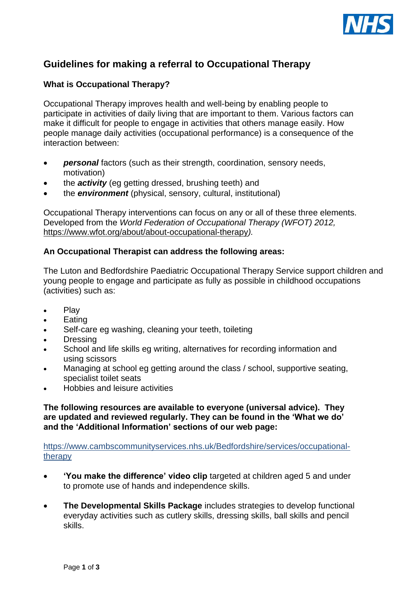

# **Guidelines for making a referral to Occupational Therapy**

### **What is Occupational Therapy?**

Occupational Therapy improves health and well-being by enabling people to participate in activities of daily living that are important to them. Various factors can make it difficult for people to engage in activities that others manage easily. How people manage daily activities (occupational performance) is a consequence of the interaction between:

- *personal* factors (such as their strength, coordination, sensory needs, motivation)
- the *activity* (eg getting dressed, brushing teeth) and
- the *environment* (physical, sensory, cultural, institutional)

Occupational Therapy interventions can focus on any or all of these three elements. Developed from the *World Federation of Occupational Therapy (WFOT) 2012,*  https://www.wfot.org/about/about-occupational-therapy*).*

#### **An Occupational Therapist can address the following areas:**

The Luton and Bedfordshire Paediatric Occupational Therapy Service support children and young people to engage and participate as fully as possible in childhood occupations (activities) such as:

- Play
- **Eating**
- Self-care eg washing, cleaning your teeth, toileting
- **Dressing**
- School and life skills eg writing, alternatives for recording information and using scissors
- Managing at school eg getting around the class / school, supportive seating, specialist toilet seats
- Hobbies and leisure activities

**The following resources are available to everyone (universal advice). They are updated and reviewed regularly. They can be found in the 'What we do' and the 'Additional Information' sections of our web page:**

[https://www.cambscommunityservices.nhs.uk/Bedfordshire/services/occupational](https://www.cambscommunityservices.nhs.uk/Bedfordshire/services/occupational-therapy)[therapy](https://www.cambscommunityservices.nhs.uk/Bedfordshire/services/occupational-therapy)

- **'You make the difference' video clip** targeted at children aged 5 and under to promote use of hands and independence skills.
- **The Developmental Skills Package** includes strategies to develop functional everyday activities such as cutlery skills, dressing skills, ball skills and pencil skills.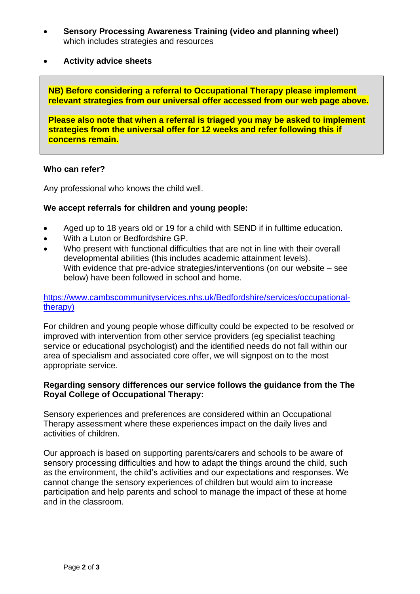- **Sensory Processing Awareness Training (video and planning wheel)**  which includes strategies and resources
- **Activity advice sheets**

**NB) Before considering a referral to Occupational Therapy please implement relevant strategies from our universal offer accessed from our web page above.** 

**Please also note that when a referral is triaged you may be asked to implement strategies from the universal offer for 12 weeks and refer following this if concerns remain.**

#### **Who can refer?**

Any professional who knows the child well.

#### **We accept referrals for children and young people:**

- Aged up to 18 years old or 19 for a child with SEND if in fulltime education.
- With a Luton or Bedfordshire GP.
- Who present with functional difficulties that are not in line with their overall developmental abilities (this includes academic attainment levels). With evidence that pre-advice strategies/interventions (on our website – see below) have been followed in school and home.

#### [https://www.cambscommunityservices.nhs.uk/Bedfordshire/services/occupational](https://www.cambscommunityservices.nhs.uk/Bedfordshire/services/occupational-therapy)[therapy\)](https://www.cambscommunityservices.nhs.uk/Bedfordshire/services/occupational-therapy)

For children and young people whose difficulty could be expected to be resolved or improved with intervention from other service providers (eg specialist teaching service or educational psychologist) and the identified needs do not fall within our area of specialism and associated core offer, we will signpost on to the most appropriate service.

#### **Regarding sensory differences our service follows the guidance from the The Royal College of Occupational Therapy:**

Sensory experiences and preferences are considered within an Occupational Therapy assessment where these experiences impact on the daily lives and activities of children.

Our approach is based on supporting parents/carers and schools to be aware of sensory processing difficulties and how to adapt the things around the child, such as the environment, the child's activities and our expectations and responses. We cannot change the sensory experiences of children but would aim to increase participation and help parents and school to manage the impact of these at home and in the classroom.